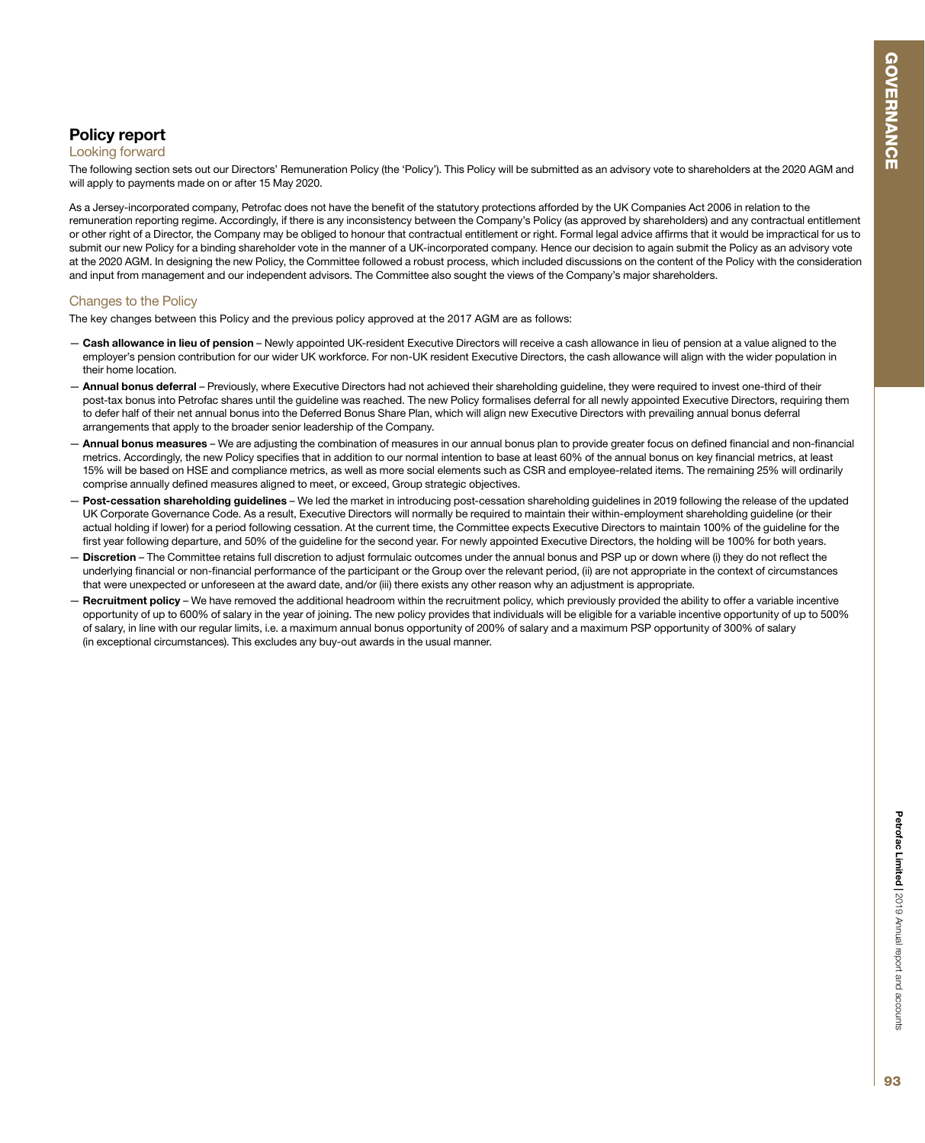# Policy report

### Looking forward

The following section sets out our Directors' Remuneration Policy (the 'Policy'). This Policy will be submitted as an advisory vote to shareholders at the 2020 AGM and will apply to payments made on or after 15 May 2020.

As a Jersey-incorporated company, Petrofac does not have the benefit of the statutory protections afforded by the UK Companies Act 2006 in relation to the remuneration reporting regime. Accordingly, if there is any inconsistency between the Company's Policy (as approved by shareholders) and any contractual entitlement or other right of a Director, the Company may be obliged to honour that contractual entitlement or right. Formal legal advice affirms that it would be impractical for us to submit our new Policy for a binding shareholder vote in the manner of a UK-incorporated company. Hence our decision to again submit the Policy as an advisory vote at the 2020 AGM. In designing the new Policy, the Committee followed a robust process, which included discussions on the content of the Policy with the consideration and input from management and our independent advisors. The Committee also sought the views of the Company's major shareholders.

# Changes to the Policy

The key changes between this Policy and the previous policy approved at the 2017 AGM are as follows:

- Cash allowance in lieu of pension Newly appointed UK-resident Executive Directors will receive a cash allowance in lieu of pension at a value aligned to the employer's pension contribution for our wider UK workforce. For non-UK resident Executive Directors, the cash allowance will align with the wider population in their home location.
- Annual bonus deferral Previously, where Executive Directors had not achieved their shareholding guideline, they were required to invest one-third of their post-tax bonus into Petrofac shares until the guideline was reached. The new Policy formalises deferral for all newly appointed Executive Directors, requiring them to defer half of their net annual bonus into the Deferred Bonus Share Plan, which will align new Executive Directors with prevailing annual bonus deferral arrangements that apply to the broader senior leadership of the Company.
- Annual bonus measures We are adjusting the combination of measures in our annual bonus plan to provide greater focus on defined financial and non-financial metrics. Accordingly, the new Policy specifies that in addition to our normal intention to base at least 60% of the annual bonus on key financial metrics, at least 15% will be based on HSE and compliance metrics, as well as more social elements such as CSR and employee-related items. The remaining 25% will ordinarily comprise annually defined measures aligned to meet, or exceed, Group strategic objectives.
- Post-cessation shareholding guidelines We led the market in introducing post-cessation shareholding guidelines in 2019 following the release of the updated UK Corporate Governance Code. As a result, Executive Directors will normally be required to maintain their within-employment shareholding guideline (or their actual holding if lower) for a period following cessation. At the current time, the Committee expects Executive Directors to maintain 100% of the guideline for the first year following departure, and 50% of the guideline for the second year. For newly appointed Executive Directors, the holding will be 100% for both years.
- Discretion The Committee retains full discretion to adjust formulaic outcomes under the annual bonus and PSP up or down where (i) they do not reflect the underlying financial or non-financial performance of the participant or the Group over the relevant period, (ii) are not appropriate in the context of circumstances that were unexpected or unforeseen at the award date, and/or (iii) there exists any other reason why an adjustment is appropriate.
- Recruitment policy We have removed the additional headroom within the recruitment policy, which previously provided the ability to offer a variable incentive opportunity of up to 600% of salary in the year of joining. The new policy provides that individuals will be eligible for a variable incentive opportunity of up to 500% of salary, in line with our regular limits, i.e. a maximum annual bonus opportunity of 200% of salary and a maximum PSP opportunity of 300% of salary (in exceptional circumstances). This excludes any buy-out awards in the usual manner.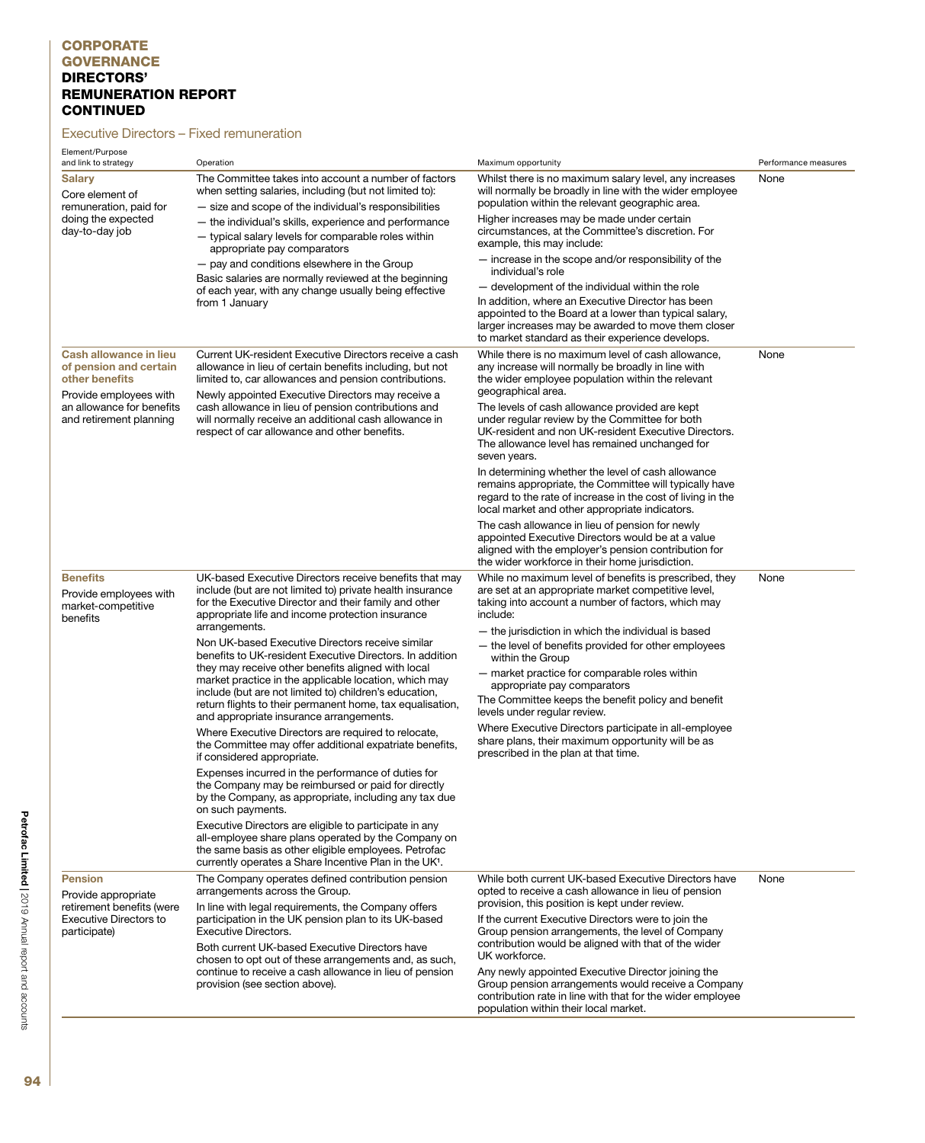### Executive Directors – Fixed remuneration

| Element/Purpose<br>and link to strategy                                                                             | Operation                                                                                                                                                                                                                          | Maximum opportunity                                                                                                                                                                                                                                                       | Performance measures |
|---------------------------------------------------------------------------------------------------------------------|------------------------------------------------------------------------------------------------------------------------------------------------------------------------------------------------------------------------------------|---------------------------------------------------------------------------------------------------------------------------------------------------------------------------------------------------------------------------------------------------------------------------|----------------------|
| <b>Salary</b><br>Core element of<br>remuneration, paid for                                                          | The Committee takes into account a number of factors<br>when setting salaries, including (but not limited to):<br>- size and scope of the individual's responsibilities                                                            | Whilst there is no maximum salary level, any increases<br>will normally be broadly in line with the wider employee<br>population within the relevant geographic area.                                                                                                     | None                 |
| doing the expected<br>day-to-day job                                                                                | - the individual's skills, experience and performance<br>- typical salary levels for comparable roles within<br>appropriate pay comparators                                                                                        | Higher increases may be made under certain<br>circumstances, at the Committee's discretion. For<br>example, this may include:                                                                                                                                             |                      |
|                                                                                                                     | - pay and conditions elsewhere in the Group<br>Basic salaries are normally reviewed at the beginning                                                                                                                               | - increase in the scope and/or responsibility of the<br>individual's role                                                                                                                                                                                                 |                      |
|                                                                                                                     | of each year, with any change usually being effective<br>from 1 January                                                                                                                                                            | - development of the individual within the role<br>In addition, where an Executive Director has been<br>appointed to the Board at a lower than typical salary,<br>larger increases may be awarded to move them closer<br>to market standard as their experience develops. |                      |
| Cash allowance in lieu<br>of pension and certain<br>other benefits                                                  | Current UK-resident Executive Directors receive a cash<br>allowance in lieu of certain benefits including, but not<br>limited to, car allowances and pension contributions.                                                        | While there is no maximum level of cash allowance,<br>any increase will normally be broadly in line with<br>the wider employee population within the relevant<br>geographical area.                                                                                       | None                 |
| Provide employees with<br>an allowance for benefits<br>and retirement planning                                      | Newly appointed Executive Directors may receive a<br>cash allowance in lieu of pension contributions and<br>will normally receive an additional cash allowance in<br>respect of car allowance and other benefits.                  | The levels of cash allowance provided are kept<br>under regular review by the Committee for both<br>UK-resident and non UK-resident Executive Directors.<br>The allowance level has remained unchanged for<br>seven years.                                                |                      |
|                                                                                                                     |                                                                                                                                                                                                                                    | In determining whether the level of cash allowance<br>remains appropriate, the Committee will typically have<br>regard to the rate of increase in the cost of living in the<br>local market and other appropriate indicators.                                             |                      |
|                                                                                                                     |                                                                                                                                                                                                                                    | The cash allowance in lieu of pension for newly<br>appointed Executive Directors would be at a value<br>aligned with the employer's pension contribution for<br>the wider workforce in their home jurisdiction.                                                           |                      |
| <b>Benefits</b><br>Provide employees with<br>market-competitive<br>benefits                                         | UK-based Executive Directors receive benefits that may<br>include (but are not limited to) private health insurance<br>for the Executive Director and their family and other<br>appropriate life and income protection insurance   | While no maximum level of benefits is prescribed, they<br>are set at an appropriate market competitive level,<br>taking into account a number of factors, which may<br>include:                                                                                           | None                 |
|                                                                                                                     | arrangements.<br>Non UK-based Executive Directors receive similar<br>benefits to UK-resident Executive Directors. In addition                                                                                                      | - the jurisdiction in which the individual is based<br>- the level of benefits provided for other employees                                                                                                                                                               |                      |
|                                                                                                                     | they may receive other benefits aligned with local<br>market practice in the applicable location, which may<br>include (but are not limited to) children's education,<br>return flights to their permanent home, tax equalisation, | within the Group<br>- market practice for comparable roles within<br>appropriate pay comparators<br>The Committee keeps the benefit policy and benefit                                                                                                                    |                      |
|                                                                                                                     | and appropriate insurance arrangements.                                                                                                                                                                                            | levels under regular review.<br>Where Executive Directors participate in all-employee                                                                                                                                                                                     |                      |
|                                                                                                                     | Where Executive Directors are required to relocate,<br>the Committee may offer additional expatriate benefits,<br>if considered appropriate.                                                                                       | share plans, their maximum opportunity will be as<br>prescribed in the plan at that time.                                                                                                                                                                                 |                      |
|                                                                                                                     | Expenses incurred in the performance of duties for<br>the Company may be reimbursed or paid for directly<br>by the Company, as appropriate, including any tax due<br>on such payments.                                             |                                                                                                                                                                                                                                                                           |                      |
|                                                                                                                     | Executive Directors are eligible to participate in any<br>all-employee share plans operated by the Company on<br>the same basis as other eligible employees. Petrofac<br>currently operates a Share Incentive Plan in the UK1.     |                                                                                                                                                                                                                                                                           |                      |
| <b>Pension</b><br>Provide appropriate<br>retirement benefits (were<br><b>Executive Directors to</b><br>participate) | The Company operates defined contribution pension<br>arrangements across the Group.                                                                                                                                                | While both current UK-based Executive Directors have<br>opted to receive a cash allowance in lieu of pension                                                                                                                                                              | None                 |
|                                                                                                                     | In line with legal requirements, the Company offers<br>participation in the UK pension plan to its UK-based<br><b>Executive Directors.</b>                                                                                         | provision, this position is kept under review.<br>If the current Executive Directors were to join the<br>Group pension arrangements, the level of Company                                                                                                                 |                      |
|                                                                                                                     | Both current UK-based Executive Directors have<br>chosen to opt out of these arrangements and, as such,                                                                                                                            | contribution would be aligned with that of the wider<br>UK workforce.                                                                                                                                                                                                     |                      |
|                                                                                                                     | continue to receive a cash allowance in lieu of pension<br>provision (see section above).                                                                                                                                          | Any newly appointed Executive Director joining the<br>Group pension arrangements would receive a Company<br>contribution rate in line with that for the wider employee<br>population within their local market.                                                           |                      |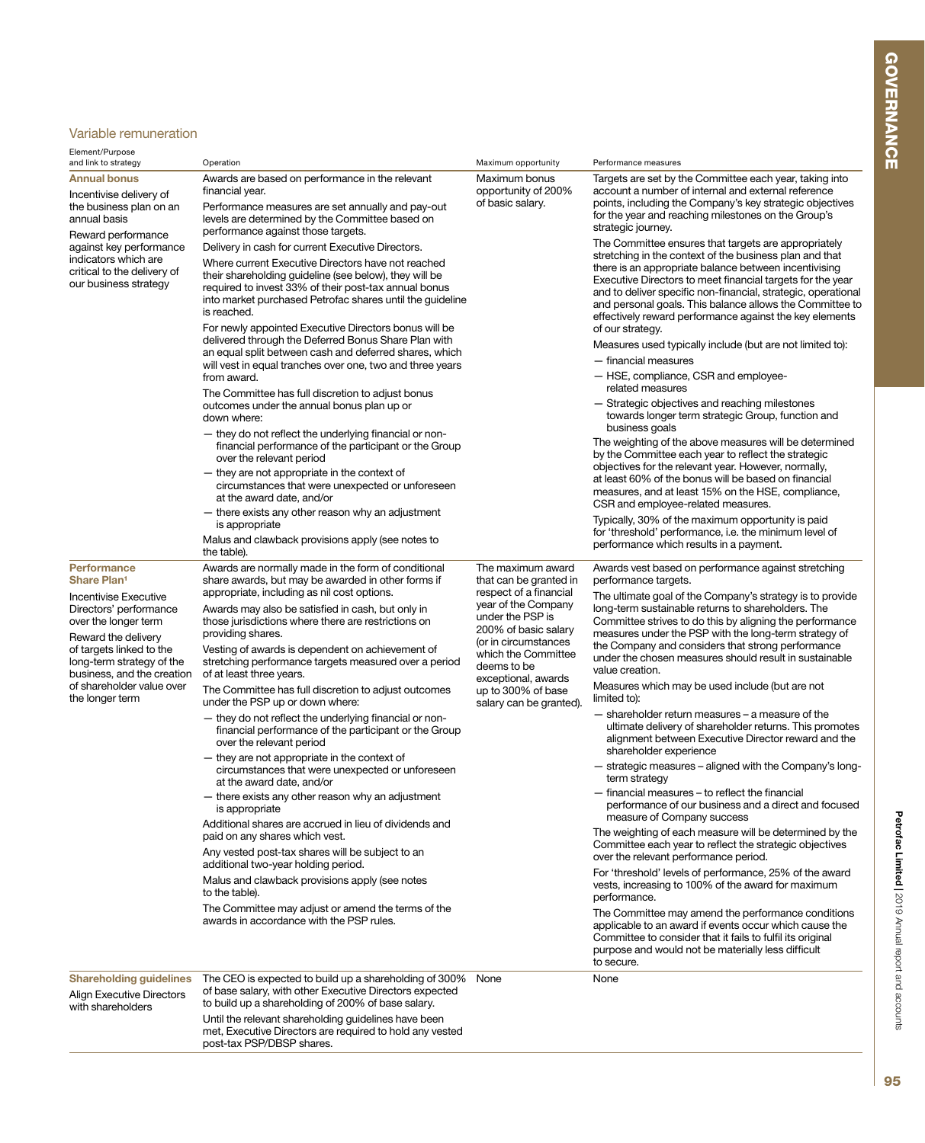# Variable remuneration

| Element/Purpose<br>and link to strategy                                                                                                                                                                                                                                                             | Operation                                                                                                                                                                                                                                                                                                                                                                                                                                                                                                                                                                                                                                                                                                                                                                                                                                                                                                                                                                                                                                                                                                                                                                                                                                         | Maximum opportunity                                                                                                                                                                                                                                                            | Performance measures                                                                                                                                                                                                                                                                                                                                                                                                                                                                                                                                                                                                                                                                                                                                                                                                                                                                                                                                                                                                                                                                                                                                                                                                                                                                                                                                                                                                                                                                            |
|-----------------------------------------------------------------------------------------------------------------------------------------------------------------------------------------------------------------------------------------------------------------------------------------------------|---------------------------------------------------------------------------------------------------------------------------------------------------------------------------------------------------------------------------------------------------------------------------------------------------------------------------------------------------------------------------------------------------------------------------------------------------------------------------------------------------------------------------------------------------------------------------------------------------------------------------------------------------------------------------------------------------------------------------------------------------------------------------------------------------------------------------------------------------------------------------------------------------------------------------------------------------------------------------------------------------------------------------------------------------------------------------------------------------------------------------------------------------------------------------------------------------------------------------------------------------|--------------------------------------------------------------------------------------------------------------------------------------------------------------------------------------------------------------------------------------------------------------------------------|-------------------------------------------------------------------------------------------------------------------------------------------------------------------------------------------------------------------------------------------------------------------------------------------------------------------------------------------------------------------------------------------------------------------------------------------------------------------------------------------------------------------------------------------------------------------------------------------------------------------------------------------------------------------------------------------------------------------------------------------------------------------------------------------------------------------------------------------------------------------------------------------------------------------------------------------------------------------------------------------------------------------------------------------------------------------------------------------------------------------------------------------------------------------------------------------------------------------------------------------------------------------------------------------------------------------------------------------------------------------------------------------------------------------------------------------------------------------------------------------------|
| <b>Annual bonus</b><br>Incentivise delivery of<br>the business plan on an<br>annual basis<br>Reward performance                                                                                                                                                                                     | Awards are based on performance in the relevant<br>financial year.<br>Performance measures are set annually and pay-out<br>levels are determined by the Committee based on<br>performance against those targets.                                                                                                                                                                                                                                                                                                                                                                                                                                                                                                                                                                                                                                                                                                                                                                                                                                                                                                                                                                                                                                  | Maximum bonus<br>opportunity of 200%<br>of basic salary.                                                                                                                                                                                                                       | Targets are set by the Committee each year, taking into<br>account a number of internal and external reference<br>points, including the Company's key strategic objectives<br>for the year and reaching milestones on the Group's<br>strategic journey.                                                                                                                                                                                                                                                                                                                                                                                                                                                                                                                                                                                                                                                                                                                                                                                                                                                                                                                                                                                                                                                                                                                                                                                                                                         |
| against key performance<br>indicators which are<br>critical to the delivery of<br>our business strategy                                                                                                                                                                                             | Delivery in cash for current Executive Directors.<br>Where current Executive Directors have not reached<br>their shareholding guideline (see below), they will be<br>required to invest 33% of their post-tax annual bonus<br>into market purchased Petrofac shares until the guideline<br>is reached.                                                                                                                                                                                                                                                                                                                                                                                                                                                                                                                                                                                                                                                                                                                                                                                                                                                                                                                                            |                                                                                                                                                                                                                                                                                | The Committee ensures that targets are appropriately<br>stretching in the context of the business plan and that<br>there is an appropriate balance between incentivising<br>Executive Directors to meet financial targets for the year<br>and to deliver specific non-financial, strategic, operational<br>and personal goals. This balance allows the Committee to<br>effectively reward performance against the key elements                                                                                                                                                                                                                                                                                                                                                                                                                                                                                                                                                                                                                                                                                                                                                                                                                                                                                                                                                                                                                                                                  |
|                                                                                                                                                                                                                                                                                                     | For newly appointed Executive Directors bonus will be<br>delivered through the Deferred Bonus Share Plan with<br>an equal split between cash and deferred shares, which<br>will vest in equal tranches over one, two and three years<br>from award.<br>The Committee has full discretion to adjust bonus<br>outcomes under the annual bonus plan up or<br>down where:<br>- they do not reflect the underlying financial or non-<br>financial performance of the participant or the Group<br>over the relevant period<br>- they are not appropriate in the context of<br>circumstances that were unexpected or unforeseen<br>at the award date, and/or<br>- there exists any other reason why an adjustment<br>is appropriate<br>Malus and clawback provisions apply (see notes to                                                                                                                                                                                                                                                                                                                                                                                                                                                                 |                                                                                                                                                                                                                                                                                | of our strategy.<br>Measures used typically include (but are not limited to):<br>- financial measures<br>- HSE, compliance, CSR and employee-<br>related measures<br>- Strategic objectives and reaching milestones<br>towards longer term strategic Group, function and<br>business goals<br>The weighting of the above measures will be determined<br>by the Committee each year to reflect the strategic<br>objectives for the relevant year. However, normally,<br>at least 60% of the bonus will be based on financial<br>measures, and at least 15% on the HSE, compliance,<br>CSR and employee-related measures.<br>Typically, 30% of the maximum opportunity is paid<br>for 'threshold' performance, i.e. the minimum level of<br>performance which results in a payment.                                                                                                                                                                                                                                                                                                                                                                                                                                                                                                                                                                                                                                                                                                               |
| <b>Performance</b><br><b>Share Plan<sup>1</sup></b><br><b>Incentivise Executive</b><br>Directors' performance<br>over the longer term<br>Reward the delivery<br>of targets linked to the<br>long-term strategy of the<br>business, and the creation<br>of shareholder value over<br>the longer term | Awards are normally made in the form of conditional<br>share awards, but may be awarded in other forms if<br>appropriate, including as nil cost options.<br>Awards may also be satisfied in cash, but only in<br>those jurisdictions where there are restrictions on<br>providing shares.<br>Vesting of awards is dependent on achievement of<br>stretching performance targets measured over a period<br>of at least three years.<br>The Committee has full discretion to adjust outcomes<br>under the PSP up or down where:<br>- they do not reflect the underlying financial or non-<br>financial performance of the participant or the Group<br>over the relevant period<br>- they are not appropriate in the context of<br>circumstances that were unexpected or unforeseen<br>at the award date, and/or<br>- there exists any other reason why an adjustment<br>is appropriate<br>Additional shares are accrued in lieu of dividends and<br>paid on any shares which vest.<br>Any vested post-tax shares will be subject to an<br>additional two-year holding period.<br>Malus and clawback provisions apply (see notes<br>to the table).<br>The Committee may adjust or amend the terms of the<br>awards in accordance with the PSP rules. | The maximum award<br>that can be granted in<br>respect of a financial<br>year of the Company<br>under the PSP is<br>200% of basic salary<br>(or in circumstances<br>which the Committee<br>deems to be<br>exceptional, awards<br>up to 300% of base<br>salary can be granted). | Awards vest based on performance against stretching<br>performance targets.<br>The ultimate goal of the Company's strategy is to provide<br>long-term sustainable returns to shareholders. The<br>Committee strives to do this by aligning the performance<br>measures under the PSP with the long-term strategy of<br>the Company and considers that strong performance<br>under the chosen measures should result in sustainable<br>value creation.<br>Measures which may be used include (but are not<br>limited to):<br>- shareholder return measures - a measure of the<br>ultimate delivery of shareholder returns. This promotes<br>alignment between Executive Director reward and the<br>shareholder experience<br>- strategic measures - aligned with the Company's long-<br>term strategy<br>- financial measures - to reflect the financial<br>performance of our business and a direct and focused<br>measure of Company success<br>The weighting of each measure will be determined by the<br>Committee each year to reflect the strategic objectives<br>over the relevant performance period.<br>For 'threshold' levels of performance, 25% of the award<br>vests, increasing to 100% of the award for maximum<br>performance.<br>The Committee may amend the performance conditions<br>applicable to an award if events occur which cause the<br>Committee to consider that it fails to fulfil its original<br>purpose and would not be materially less difficult<br>to secure. |
| <b>Shareholding guidelines</b><br><b>Align Executive Directors</b><br>with shareholders                                                                                                                                                                                                             | The CEO is expected to build up a shareholding of 300%<br>of base salary, with other Executive Directors expected<br>to build up a shareholding of 200% of base salary.<br>Until the relevant shareholding guidelines have been<br>met, Executive Directors are required to hold any vested<br>post-tax PSP/DBSP shares.                                                                                                                                                                                                                                                                                                                                                                                                                                                                                                                                                                                                                                                                                                                                                                                                                                                                                                                          | None                                                                                                                                                                                                                                                                           | None                                                                                                                                                                                                                                                                                                                                                                                                                                                                                                                                                                                                                                                                                                                                                                                                                                                                                                                                                                                                                                                                                                                                                                                                                                                                                                                                                                                                                                                                                            |

Petrofac Limited | 2019 Annual report and accounts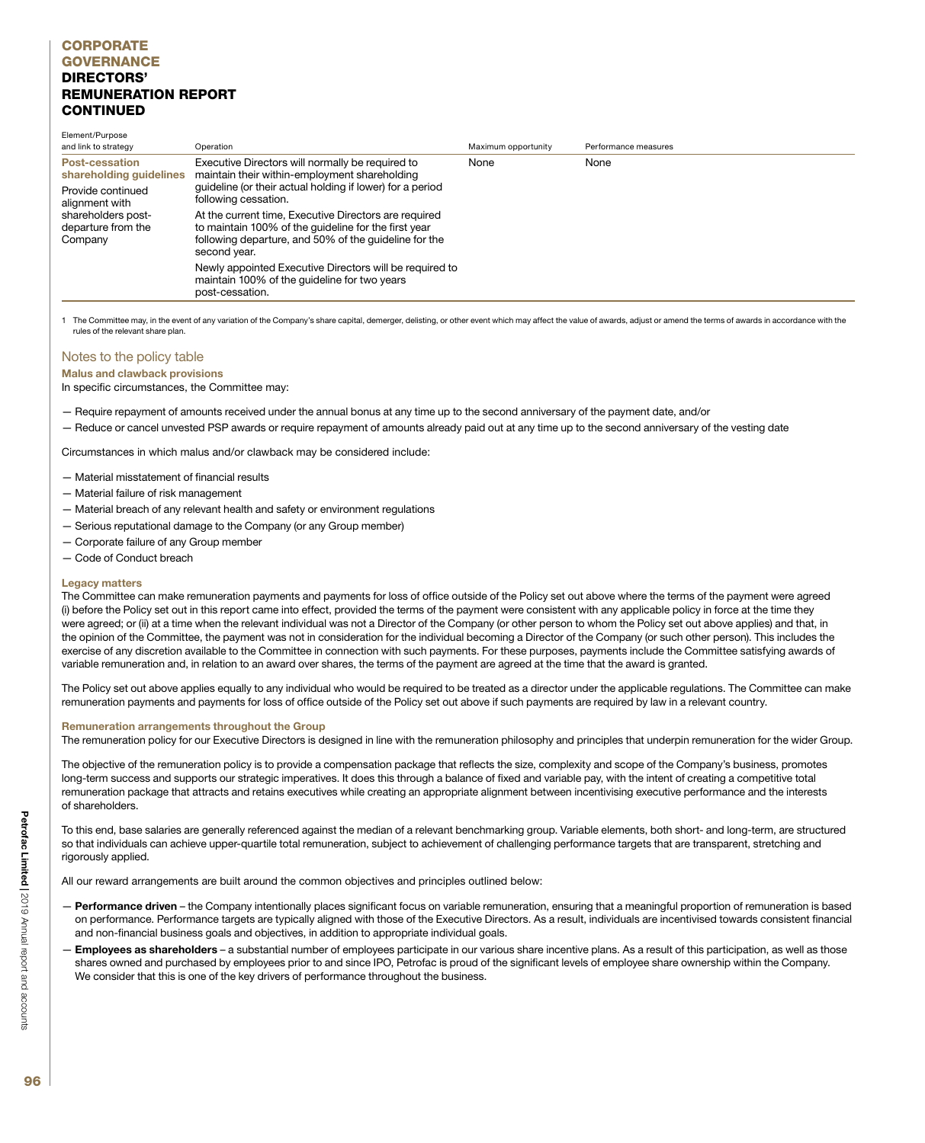| Element/Purpose<br>and link to strategy             | Operation                                                                                                                                                                              | Maximum opportunity | Performance measures |
|-----------------------------------------------------|----------------------------------------------------------------------------------------------------------------------------------------------------------------------------------------|---------------------|----------------------|
| <b>Post-cessation</b><br>shareholding guidelines    | Executive Directors will normally be required to<br>maintain their within-employment shareholding                                                                                      | None                | None                 |
| Provide continued<br>alignment with                 | quideline (or their actual holding if lower) for a period<br>following cessation.                                                                                                      |                     |                      |
| shareholders post-<br>departure from the<br>Company | At the current time, Executive Directors are required<br>to maintain 100% of the guideline for the first year<br>following departure, and 50% of the guideline for the<br>second year. |                     |                      |
|                                                     | Newly appointed Executive Directors will be required to<br>maintain 100% of the guideline for two years<br>post-cessation.                                                             |                     |                      |

1 The Committee may, in the event of any variation of the Company's share capital, demerger, delisting, or other event which may affect the value of awards, adjust or amend the terms of awards in accordance with the rules of the relevant share plan.

### Notes to the policy table

Malus and clawback provisions

In specific circumstances, the Committee may:

- Require repayment of amounts received under the annual bonus at any time up to the second anniversary of the payment date, and/or
- Reduce or cancel unvested PSP awards or require repayment of amounts already paid out at any time up to the second anniversary of the vesting date

Circumstances in which malus and/or clawback may be considered include:

- Material misstatement of financial results
- Material failure of risk management
- Material breach of any relevant health and safety or environment regulations
- Serious reputational damage to the Company (or any Group member)
- Corporate failure of any Group member
- Code of Conduct breach

### Legacy matters

The Committee can make remuneration payments and payments for loss of office outside of the Policy set out above where the terms of the payment were agreed (i) before the Policy set out in this report came into effect, provided the terms of the payment were consistent with any applicable policy in force at the time they were agreed; or (ii) at a time when the relevant individual was not a Director of the Company (or other person to whom the Policy set out above applies) and that, in the opinion of the Committee, the payment was not in consideration for the individual becoming a Director of the Company (or such other person). This includes the exercise of any discretion available to the Committee in connection with such payments. For these purposes, payments include the Committee satisfying awards of variable remuneration and, in relation to an award over shares, the terms of the payment are agreed at the time that the award is granted.

The Policy set out above applies equally to any individual who would be required to be treated as a director under the applicable regulations. The Committee can make remuneration payments and payments for loss of office outside of the Policy set out above if such payments are required by law in a relevant country.

### Remuneration arrangements throughout the Group

The remuneration policy for our Executive Directors is designed in line with the remuneration philosophy and principles that underpin remuneration for the wider Group.

The objective of the remuneration policy is to provide a compensation package that reflects the size, complexity and scope of the Company's business, promotes long-term success and supports our strategic imperatives. It does this through a balance of fixed and variable pay, with the intent of creating a competitive total remuneration package that attracts and retains executives while creating an appropriate alignment between incentivising executive performance and the interests of shareholders.

To this end, base salaries are generally referenced against the median of a relevant benchmarking group. Variable elements, both short- and long-term, are structured so that individuals can achieve upper-quartile total remuneration, subject to achievement of challenging performance targets that are transparent, stretching and rigorously applied.

All our reward arrangements are built around the common objectives and principles outlined below:

- Performance driven the Company intentionally places significant focus on variable remuneration, ensuring that a meaningful proportion of remuneration is based on performance. Performance targets are typically aligned with those of the Executive Directors. As a result, individuals are incentivised towards consistent financial and non-financial business goals and objectives, in addition to appropriate individual goals.
- Employees as shareholders a substantial number of employees participate in our various share incentive plans. As a result of this participation, as well as those shares owned and purchased by employees prior to and since IPO, Petrofac is proud of the significant levels of employee share ownership within the Company. We consider that this is one of the key drivers of performance throughout the business.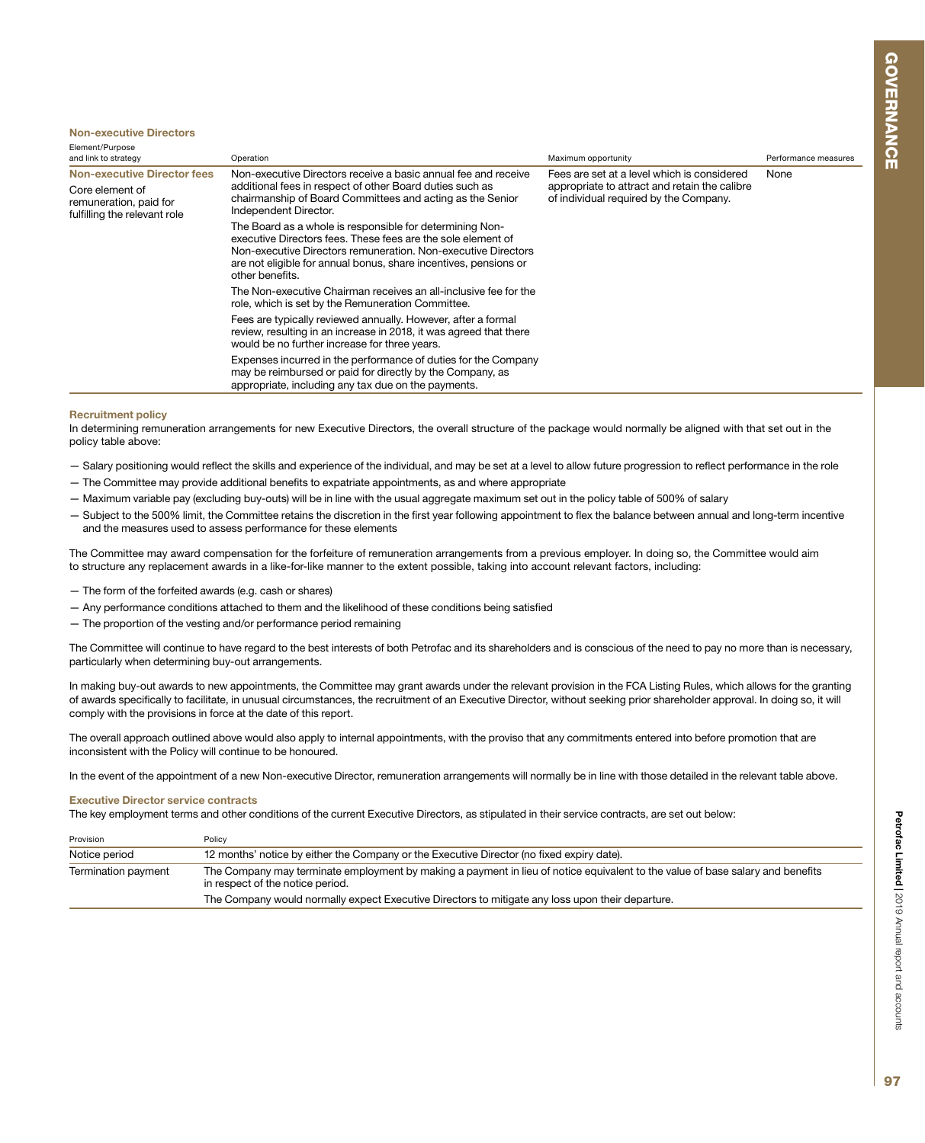#### Non-executive Directors

| Element/Purpose<br>and link to strategy                                   | Operation                                                                                                                                                                                                                                                                        | Maximum opportunity                                                                     | Performance measures |
|---------------------------------------------------------------------------|----------------------------------------------------------------------------------------------------------------------------------------------------------------------------------------------------------------------------------------------------------------------------------|-----------------------------------------------------------------------------------------|----------------------|
| <b>Non-executive Director fees</b>                                        | Non-executive Directors receive a basic annual fee and receive                                                                                                                                                                                                                   | Fees are set at a level which is considered                                             | None                 |
| Core element of<br>remuneration, paid for<br>fulfilling the relevant role | additional fees in respect of other Board duties such as<br>chairmanship of Board Committees and acting as the Senior<br>Independent Director.                                                                                                                                   | appropriate to attract and retain the calibre<br>of individual required by the Company. |                      |
|                                                                           | The Board as a whole is responsible for determining Non-<br>executive Directors fees. These fees are the sole element of<br>Non-executive Directors remuneration. Non-executive Directors<br>are not eligible for annual bonus, share incentives, pensions or<br>other benefits. |                                                                                         |                      |
|                                                                           | The Non-executive Chairman receives an all-inclusive fee for the<br>role, which is set by the Remuneration Committee.                                                                                                                                                            |                                                                                         |                      |
|                                                                           | Fees are typically reviewed annually. However, after a formal<br>review, resulting in an increase in 2018, it was agreed that there<br>would be no further increase for three years.                                                                                             |                                                                                         |                      |
|                                                                           | Expenses incurred in the performance of duties for the Company<br>may be reimbursed or paid for directly by the Company, as<br>appropriate, including any tax due on the payments.                                                                                               |                                                                                         |                      |

#### Recruitment policy

In determining remuneration arrangements for new Executive Directors, the overall structure of the package would normally be aligned with that set out in the policy table above:

- Salary positioning would reflect the skills and experience of the individual, and may be set at a level to allow future progression to reflect performance in the role
- The Committee may provide additional benefits to expatriate appointments, as and where appropriate
- Maximum variable pay (excluding buy-outs) will be in line with the usual aggregate maximum set out in the policy table of 500% of salary
- Subject to the 500% limit, the Committee retains the discretion in the first year following appointment to flex the balance between annual and long-term incentive and the measures used to assess performance for these elements

The Committee may award compensation for the forfeiture of remuneration arrangements from a previous employer. In doing so, the Committee would aim to structure any replacement awards in a like-for-like manner to the extent possible, taking into account relevant factors, including:

- The form of the forfeited awards (e.g. cash or shares)
- Any performance conditions attached to them and the likelihood of these conditions being satisfied
- The proportion of the vesting and/or performance period remaining

The Committee will continue to have regard to the best interests of both Petrofac and its shareholders and is conscious of the need to pay no more than is necessary, particularly when determining buy-out arrangements.

In making buy-out awards to new appointments, the Committee may grant awards under the relevant provision in the FCA Listing Rules, which allows for the granting of awards specifically to facilitate, in unusual circumstances, the recruitment of an Executive Director, without seeking prior shareholder approval. In doing so, it will comply with the provisions in force at the date of this report.

The overall approach outlined above would also apply to internal appointments, with the proviso that any commitments entered into before promotion that are inconsistent with the Policy will continue to be honoured.

In the event of the appointment of a new Non-executive Director, remuneration arrangements will normally be in line with those detailed in the relevant table above.

### Executive Director service contracts

The key employment terms and other conditions of the current Executive Directors, as stipulated in their service contracts, are set out below:

| Provision           | Policy                                                                                                                                                             |  |
|---------------------|--------------------------------------------------------------------------------------------------------------------------------------------------------------------|--|
| Notice period       | 12 months' notice by either the Company or the Executive Director (no fixed expiry date).                                                                          |  |
| Termination payment | The Company may terminate employment by making a payment in lieu of notice equivalent to the value of base salary and benefits<br>in respect of the notice period. |  |
|                     | The Company would normally expect Executive Directors to mitigate any loss upon their departure.                                                                   |  |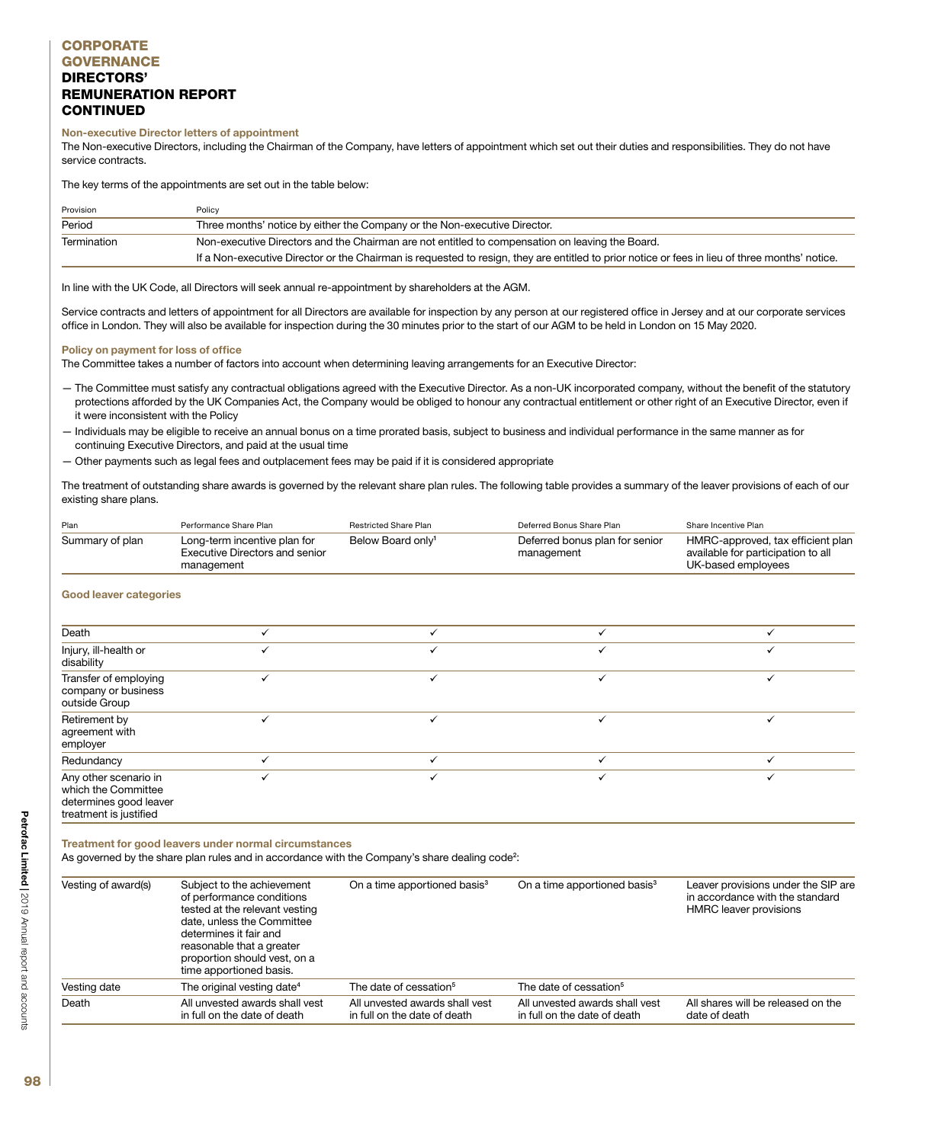### Non-executive Director letters of appointment

The Non-executive Directors, including the Chairman of the Company, have letters of appointment which set out their duties and responsibilities. They do not have service contracts.

The key terms of the appointments are set out in the table below:

| Provision                                                                                                      | Policy                                                                                                                                         |
|----------------------------------------------------------------------------------------------------------------|------------------------------------------------------------------------------------------------------------------------------------------------|
| Period                                                                                                         | Three months' notice by either the Company or the Non-executive Director.                                                                      |
| Non-executive Directors and the Chairman are not entitled to compensation on leaving the Board.<br>Termination |                                                                                                                                                |
|                                                                                                                | If a Non-executive Director or the Chairman is requested to resign, they are entitled to prior notice or fees in lieu of three months' notice. |

In line with the UK Code, all Directors will seek annual re-appointment by shareholders at the AGM.

Service contracts and letters of appointment for all Directors are available for inspection by any person at our registered office in Jersey and at our corporate services office in London. They will also be available for inspection during the 30 minutes prior to the start of our AGM to be held in London on 15 May 2020.

### Policy on payment for loss of office

The Committee takes a number of factors into account when determining leaving arrangements for an Executive Director:

- The Committee must satisfy any contractual obligations agreed with the Executive Director. As a non-UK incorporated company, without the benefit of the statutory protections afforded by the UK Companies Act, the Company would be obliged to honour any contractual entitlement or other right of an Executive Director, even if it were inconsistent with the Policy
- Individuals may be eligible to receive an annual bonus on a time prorated basis, subject to business and individual performance in the same manner as for continuing Executive Directors, and paid at the usual time
- Other payments such as legal fees and outplacement fees may be paid if it is considered appropriate

The treatment of outstanding share awards is governed by the relevant share plan rules. The following table provides a summary of the leaver provisions of each of our existing share plans.

| Plan            | Performance Share Plan                                                       | Restricted Share Plan         | Deferred Bonus Share Plan                    | Share Incentive Plan                                                                          |
|-----------------|------------------------------------------------------------------------------|-------------------------------|----------------------------------------------|-----------------------------------------------------------------------------------------------|
| Summary of plan | Long-term incentive plan for<br>Executive Directors and senior<br>management | Below Board only <sup>1</sup> | Deferred bonus plan for senior<br>management | HMRC-approved, tax efficient plan<br>available for participation to all<br>UK-based employees |

#### Good leaver categories

| Death                                                                                            |  |  |
|--------------------------------------------------------------------------------------------------|--|--|
| Injury, ill-health or<br>disability                                                              |  |  |
| Transfer of employing<br>company or business<br>outside Group                                    |  |  |
| Retirement by<br>agreement with<br>employer                                                      |  |  |
| Redundancy                                                                                       |  |  |
| Any other scenario in<br>which the Committee<br>determines good leaver<br>treatment is justified |  |  |

Treatment for good leavers under normal circumstances

As governed by the share plan rules and in accordance with the Company's share dealing code<sup>2</sup>:

| Vesting of award(s) | Subject to the achievement<br>of performance conditions<br>tested at the relevant vesting<br>date, unless the Committee<br>determines it fair and<br>reasonable that a greater<br>proportion should vest, on a<br>time apportioned basis. | On a time apportioned basis <sup>3</sup>                       | On a time apportioned basis <sup>3</sup>                       | Leaver provisions under the SIP are<br>in accordance with the standard<br>HMRC leaver provisions |
|---------------------|-------------------------------------------------------------------------------------------------------------------------------------------------------------------------------------------------------------------------------------------|----------------------------------------------------------------|----------------------------------------------------------------|--------------------------------------------------------------------------------------------------|
| Vesting date        | The original vesting date <sup>4</sup>                                                                                                                                                                                                    | The date of cessation <sup>5</sup>                             | The date of cessation <sup>5</sup>                             |                                                                                                  |
| Death               | All unvested awards shall vest<br>in full on the date of death                                                                                                                                                                            | All unvested awards shall vest<br>in full on the date of death | All unvested awards shall vest<br>in full on the date of death | All shares will be released on the<br>date of death                                              |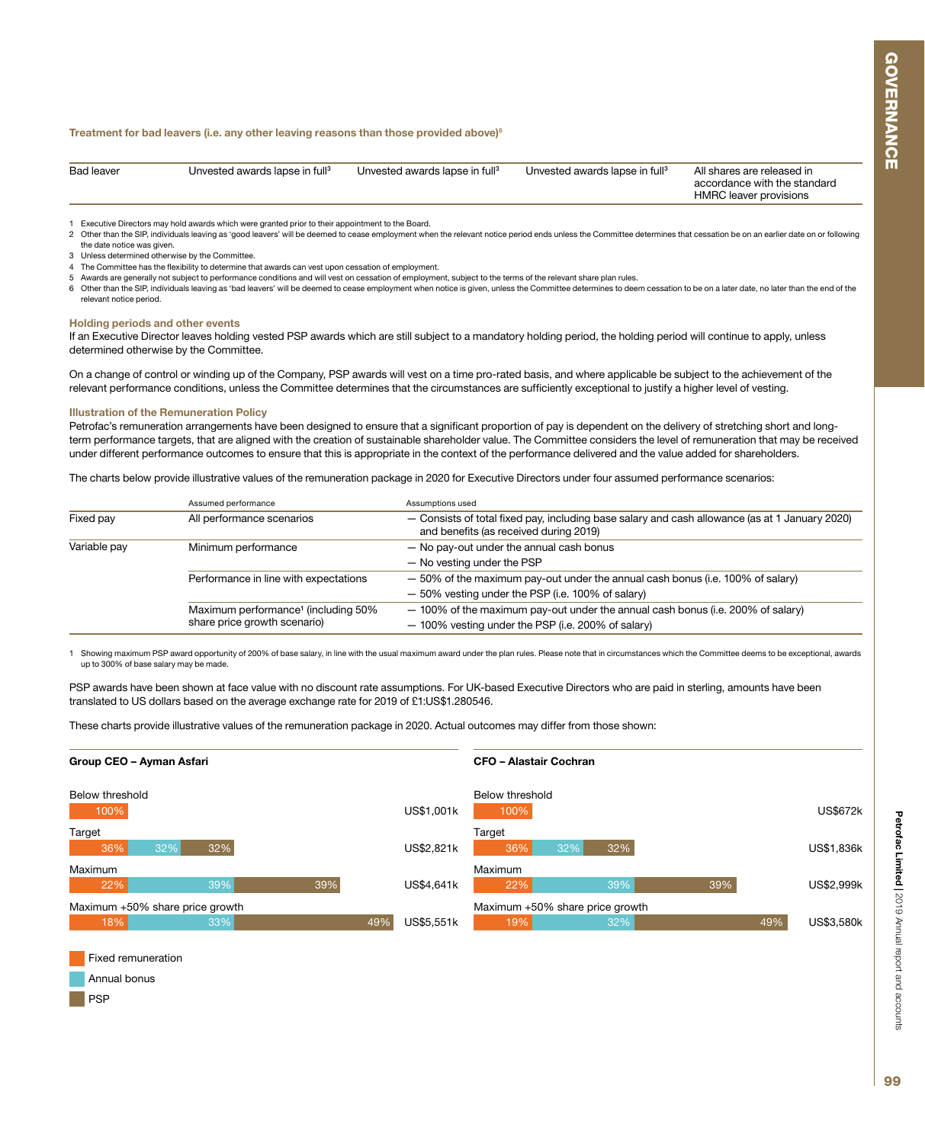#### Treatment for bad leavers (i.e. any other leaving reasons than those provided above) $6$

| <b>Bad leaver</b> | Unvested awards lapse in full <sup>3</sup> | Unvested awards lapse in full <sup>3</sup> | Unvested awards lapse in full <sup>3</sup> | All shares are released in<br>accordance with the standard<br><b>HMRC</b> leaver provisions |
|-------------------|--------------------------------------------|--------------------------------------------|--------------------------------------------|---------------------------------------------------------------------------------------------|
|                   |                                            |                                            |                                            |                                                                                             |

1 Executive Directors may hold awards which were granted prior to their appointment to the Board.

2 Other than the SIP, individuals leaving as 'good leavers' will be deemed to cease employment when the relevant notice period ends unless the Committee determines that cessation be on an earlier date on or following the date notice was given.

3 Unless determined otherwise by the Committee.

The Committee has the flexibility to determine that awards can vest upon cessation of employment.

- 5 Awards are generally not subject to performance conditions and will vest on cessation of employment, subject to the terms of the relevant share plan rules.
- 6 Other than the SIP, individuals leaving as 'bad leavers' will be deemed to cease employment when notice is given, unless the Committee determines to deem cessation to be on a later date, no later than the end of the relevant notice period.

#### Holding periods and other events

If an Executive Director leaves holding vested PSP awards which are still subject to a mandatory holding period, the holding period will continue to apply, unless determined otherwise by the Committee.

On a change of control or winding up of the Company, PSP awards will vest on a time pro-rated basis, and where applicable be subject to the achievement of the relevant performance conditions, unless the Committee determines that the circumstances are sufficiently exceptional to justify a higher level of vesting.

#### Illustration of the Remuneration Policy

PSP

Petrofac's remuneration arrangements have been designed to ensure that a significant proportion of pay is dependent on the delivery of stretching short and longterm performance targets, that are aligned with the creation of sustainable shareholder value. The Committee considers the level of remuneration that may be received under different performance outcomes to ensure that this is appropriate in the context of the performance delivered and the value added for shareholders.

The charts below provide illustrative values of the remuneration package in 2020 for Executive Directors under four assumed performance scenarios:

|              | Assumed performance                                                             | Assumptions used                                                                                                                         |
|--------------|---------------------------------------------------------------------------------|------------------------------------------------------------------------------------------------------------------------------------------|
| Fixed pay    | All performance scenarios                                                       | - Consists of total fixed pay, including base salary and cash allowance (as at 1 January 2020)<br>and benefits (as received during 2019) |
| Variable pay | Minimum performance                                                             | - No pay-out under the annual cash bonus<br>- No vesting under the PSP                                                                   |
|              | Performance in line with expectations                                           | - 50% of the maximum pay-out under the annual cash bonus (i.e. 100% of salary)<br>- 50% vesting under the PSP (i.e. 100% of salary)      |
|              | Maximum performance <sup>1</sup> (including 50%<br>share price growth scenario) | - 100% of the maximum pay-out under the annual cash bonus (i.e. 200% of salary)<br>- 100% vesting under the PSP (i.e. 200% of salary)    |

Showing maximum PSP award opportunity of 200% of base salary, in line with the usual maximum award under the plan rules. Please note that in circumstances which the Committee deems to be exceptional, awards up to 300% of base salary may be made.

PSP awards have been shown at face value with no discount rate assumptions. For UK-based Executive Directors who are paid in sterling, amounts have been translated to US dollars based on the average exchange rate for 2019 of £1:US\$1.280546.

These charts provide illustrative values of the remuneration package in 2020. Actual outcomes may differ from those shown: